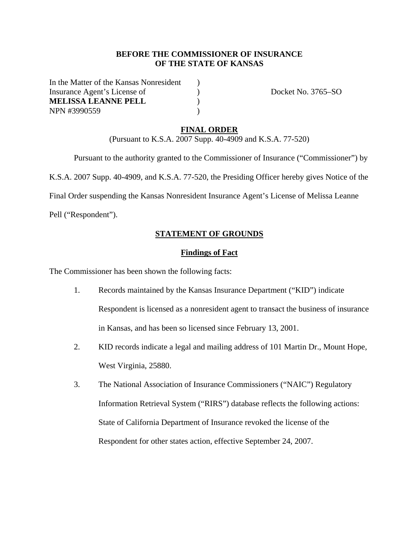### **BEFORE THE COMMISSIONER OF INSURANCE OF THE STATE OF KANSAS**

In the Matter of the Kansas Nonresident ) Insurance Agent's License of  $Docket No. 3765-SO$ **MELISSA LEANNE PELL** ) NPN #3990559 )

## **FINAL ORDER**

(Pursuant to K.S.A. 2007 Supp. 40-4909 and K.S.A. 77-520)

Pursuant to the authority granted to the Commissioner of Insurance ("Commissioner") by

K.S.A. 2007 Supp. 40-4909, and K.S.A. 77-520, the Presiding Officer hereby gives Notice of the

Final Order suspending the Kansas Nonresident Insurance Agent's License of Melissa Leanne

Pell ("Respondent").

## **STATEMENT OF GROUNDS**

#### **Findings of Fact**

The Commissioner has been shown the following facts:

- 1. Records maintained by the Kansas Insurance Department ("KID") indicate Respondent is licensed as a nonresident agent to transact the business of insurance in Kansas, and has been so licensed since February 13, 2001.
- 2. KID records indicate a legal and mailing address of 101 Martin Dr., Mount Hope, West Virginia, 25880.
- 3. The National Association of Insurance Commissioners ("NAIC") Regulatory Information Retrieval System ("RIRS") database reflects the following actions: State of California Department of Insurance revoked the license of the Respondent for other states action, effective September 24, 2007.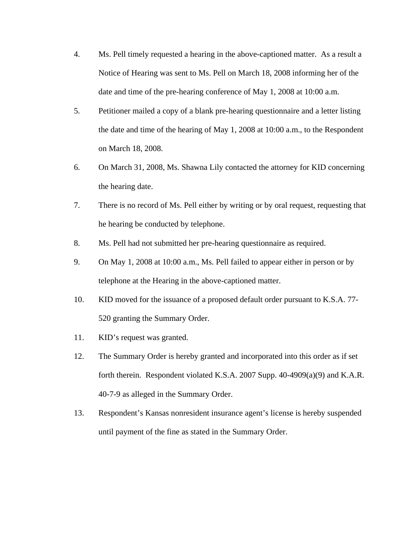- 4. Ms. Pell timely requested a hearing in the above-captioned matter. As a result a Notice of Hearing was sent to Ms. Pell on March 18, 2008 informing her of the date and time of the pre-hearing conference of May 1, 2008 at 10:00 a.m.
- 5. Petitioner mailed a copy of a blank pre-hearing questionnaire and a letter listing the date and time of the hearing of May 1, 2008 at 10:00 a.m., to the Respondent on March 18, 2008.
- 6. On March 31, 2008, Ms. Shawna Lily contacted the attorney for KID concerning the hearing date.
- 7. There is no record of Ms. Pell either by writing or by oral request, requesting that he hearing be conducted by telephone.
- 8. Ms. Pell had not submitted her pre-hearing questionnaire as required.
- 9. On May 1, 2008 at 10:00 a.m., Ms. Pell failed to appear either in person or by telephone at the Hearing in the above-captioned matter.
- 10. KID moved for the issuance of a proposed default order pursuant to K.S.A. 77- 520 granting the Summary Order.
- 11. KID's request was granted.
- 12. The Summary Order is hereby granted and incorporated into this order as if set forth therein. Respondent violated K.S.A. 2007 Supp. 40-4909(a)(9) and K.A.R. 40-7-9 as alleged in the Summary Order.
- 13. Respondent's Kansas nonresident insurance agent's license is hereby suspended until payment of the fine as stated in the Summary Order.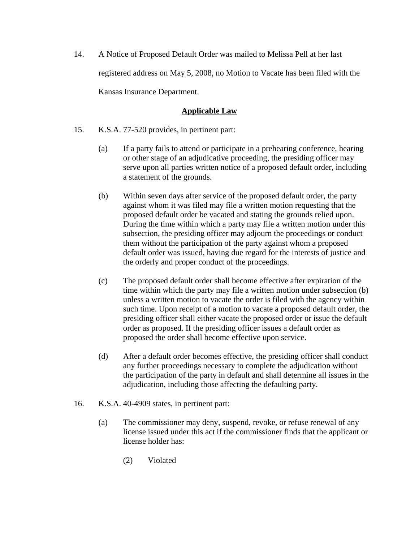14. A Notice of Proposed Default Order was mailed to Melissa Pell at her last registered address on May 5, 2008, no Motion to Vacate has been filed with the Kansas Insurance Department.

## **Applicable Law**

- 15. K.S.A. 77-520 provides, in pertinent part:
	- (a) If a party fails to attend or participate in a prehearing conference, hearing or other stage of an adjudicative proceeding, the presiding officer may serve upon all parties written notice of a proposed default order, including a statement of the grounds.
	- (b) Within seven days after service of the proposed default order, the party against whom it was filed may file a written motion requesting that the proposed default order be vacated and stating the grounds relied upon. During the time within which a party may file a written motion under this subsection, the presiding officer may adjourn the proceedings or conduct them without the participation of the party against whom a proposed default order was issued, having due regard for the interests of justice and the orderly and proper conduct of the proceedings.
	- (c) The proposed default order shall become effective after expiration of the time within which the party may file a written motion under subsection (b) unless a written motion to vacate the order is filed with the agency within such time. Upon receipt of a motion to vacate a proposed default order, the presiding officer shall either vacate the proposed order or issue the default order as proposed. If the presiding officer issues a default order as proposed the order shall become effective upon service.
	- (d) After a default order becomes effective, the presiding officer shall conduct any further proceedings necessary to complete the adjudication without the participation of the party in default and shall determine all issues in the adjudication, including those affecting the defaulting party.
- 16. K.S.A. 40-4909 states, in pertinent part:
	- (a) The commissioner may deny, suspend, revoke, or refuse renewal of any license issued under this act if the commissioner finds that the applicant or license holder has:
		- (2) Violated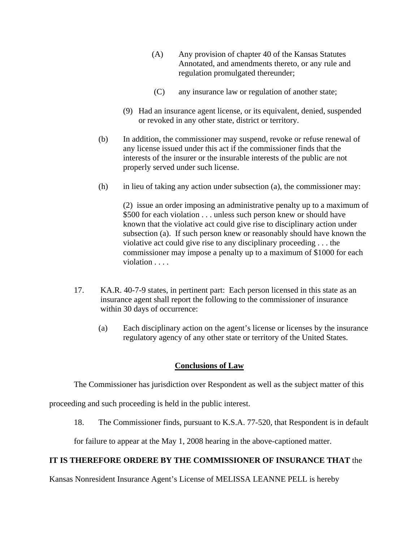- (A) Any provision of chapter 40 of the Kansas Statutes Annotated, and amendments thereto, or any rule and regulation promulgated thereunder;
- (C) any insurance law or regulation of another state;
- (9) Had an insurance agent license, or its equivalent, denied, suspended or revoked in any other state, district or territory.
- (b) In addition, the commissioner may suspend, revoke or refuse renewal of any license issued under this act if the commissioner finds that the interests of the insurer or the insurable interests of the public are not properly served under such license.
- (h) in lieu of taking any action under subsection (a), the commissioner may:

(2) issue an order imposing an administrative penalty up to a maximum of \$500 for each violation . . . unless such person knew or should have known that the violative act could give rise to disciplinary action under subsection (a). If such person knew or reasonably should have known the violative act could give rise to any disciplinary proceeding . . . the commissioner may impose a penalty up to a maximum of \$1000 for each violation . . . .

- 17. KA.R. 40-7-9 states, in pertinent part: Each person licensed in this state as an insurance agent shall report the following to the commissioner of insurance within 30 days of occurrence:
	- (a) Each disciplinary action on the agent's license or licenses by the insurance regulatory agency of any other state or territory of the United States.

### **Conclusions of Law**

The Commissioner has jurisdiction over Respondent as well as the subject matter of this

proceeding and such proceeding is held in the public interest.

18. The Commissioner finds, pursuant to K.S.A. 77-520, that Respondent is in default

for failure to appear at the May 1, 2008 hearing in the above-captioned matter.

## **IT IS THEREFORE ORDERE BY THE COMMISSIONER OF INSURANCE THAT** the

Kansas Nonresident Insurance Agent's License of MELISSA LEANNE PELL is hereby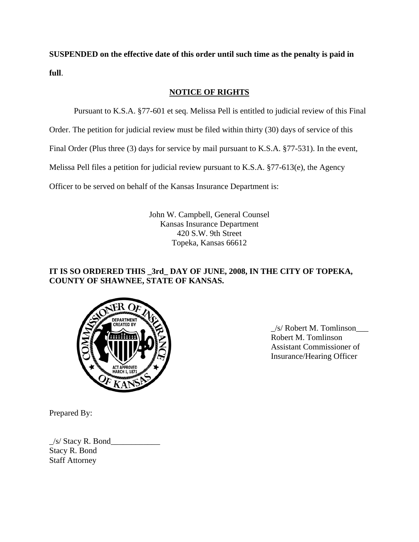**SUSPENDED on the effective date of this order until such time as the penalty is paid in full**.

# **NOTICE OF RIGHTS**

Pursuant to K.S.A. §77-601 et seq. Melissa Pell is entitled to judicial review of this Final

Order. The petition for judicial review must be filed within thirty (30) days of service of this

Final Order (Plus three (3) days for service by mail pursuant to K.S.A. §77-531). In the event,

Melissa Pell files a petition for judicial review pursuant to K.S.A. §77-613(e), the Agency

Officer to be served on behalf of the Kansas Insurance Department is:

John W. Campbell, General Counsel Kansas Insurance Department 420 S.W. 9th Street Topeka, Kansas 66612

# **IT IS SO ORDERED THIS \_3rd\_ DAY OF JUNE, 2008, IN THE CITY OF TOPEKA, COUNTY OF SHAWNEE, STATE OF KANSAS.**



 $\frac{1}{s}$   $\frac{1}{s}$   $\frac{1}{s}$  Robert M. Tomlinson Robert M. Tomlinson Assistant Commissioner of Insurance/Hearing Officer

Prepared By:

 $\angle$ s/ Stacy R. Bond $\angle$ Stacy R. Bond Staff Attorney